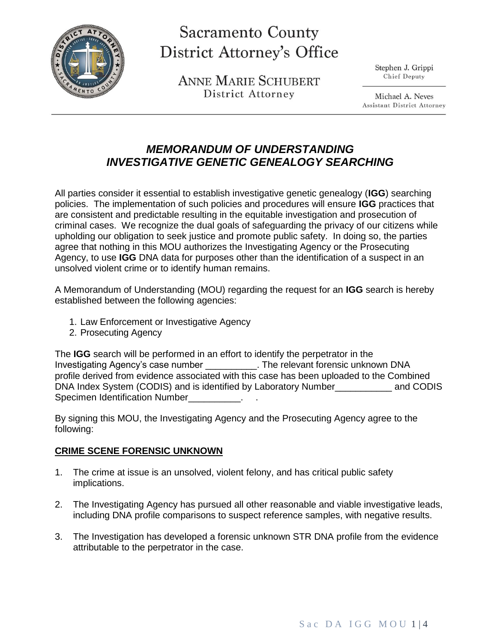

# **Sacramento County District Attorney's Office**

**ANNE MARIE SCHUBERT** District Attorney

Stephen J. Grippi Chief Deputy

Michael A. Neves Assistant District Attorney

# *MEMORANDUM OF UNDERSTANDING INVESTIGATIVE GENETIC GENEALOGY SEARCHING*

All parties consider it essential to establish investigative genetic genealogy (**IGG**) searching policies. The implementation of such policies and procedures will ensure **IGG** practices that are consistent and predictable resulting in the equitable investigation and prosecution of criminal cases. We recognize the dual goals of safeguarding the privacy of our citizens while upholding our obligation to seek justice and promote public safety. In doing so, the parties agree that nothing in this MOU authorizes the Investigating Agency or the Prosecuting Agency, to use **IGG** DNA data for purposes other than the identification of a suspect in an unsolved violent crime or to identify human remains.

A Memorandum of Understanding (MOU) regarding the request for an **IGG** search is hereby established between the following agencies:

- 1. Law Enforcement or Investigative Agency
- 2. Prosecuting Agency

The **IGG** search will be performed in an effort to identify the perpetrator in the Investigating Agency's case number \_\_\_\_\_\_\_\_\_\_. The relevant forensic unknown DNA profile derived from evidence associated with this case has been uploaded to the Combined DNA Index System (CODIS) and is identified by Laboratory Number\_\_\_\_\_\_\_\_\_\_\_ and CODIS Specimen Identification Number\_\_\_\_\_\_\_\_\_\_.

By signing this MOU, the Investigating Agency and the Prosecuting Agency agree to the following:

#### **CRIME SCENE FORENSIC UNKNOWN**

- 1. The crime at issue is an unsolved, violent felony, and has critical public safety implications.
- 2. The Investigating Agency has pursued all other reasonable and viable investigative leads, including DNA profile comparisons to suspect reference samples, with negative results.
- 3. The Investigation has developed a forensic unknown STR DNA profile from the evidence attributable to the perpetrator in the case.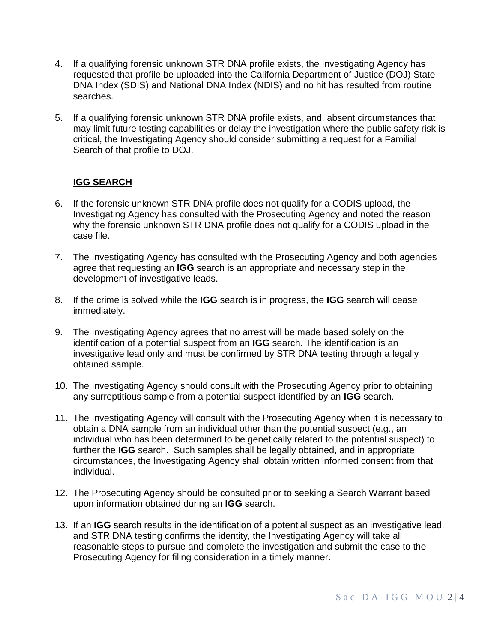- 4. If a qualifying forensic unknown STR DNA profile exists, the Investigating Agency has requested that profile be uploaded into the California Department of Justice (DOJ) State DNA Index (SDIS) and National DNA Index (NDIS) and no hit has resulted from routine searches.
- 5. If a qualifying forensic unknown STR DNA profile exists, and, absent circumstances that may limit future testing capabilities or delay the investigation where the public safety risk is critical, the Investigating Agency should consider submitting a request for a Familial Search of that profile to DOJ.

## **IGG SEARCH**

- 6. If the forensic unknown STR DNA profile does not qualify for a CODIS upload, the Investigating Agency has consulted with the Prosecuting Agency and noted the reason why the forensic unknown STR DNA profile does not qualify for a CODIS upload in the case file.
- 7. The Investigating Agency has consulted with the Prosecuting Agency and both agencies agree that requesting an **IGG** search is an appropriate and necessary step in the development of investigative leads.
- 8. If the crime is solved while the **IGG** search is in progress, the **IGG** search will cease immediately.
- 9. The Investigating Agency agrees that no arrest will be made based solely on the identification of a potential suspect from an **IGG** search. The identification is an investigative lead only and must be confirmed by STR DNA testing through a legally obtained sample.
- 10. The Investigating Agency should consult with the Prosecuting Agency prior to obtaining any surreptitious sample from a potential suspect identified by an **IGG** search.
- 11. The Investigating Agency will consult with the Prosecuting Agency when it is necessary to obtain a DNA sample from an individual other than the potential suspect (e.g., an individual who has been determined to be genetically related to the potential suspect) to further the **IGG** search. Such samples shall be legally obtained, and in appropriate circumstances, the Investigating Agency shall obtain written informed consent from that individual.
- 12. The Prosecuting Agency should be consulted prior to seeking a Search Warrant based upon information obtained during an **IGG** search.
- 13. If an **IGG** search results in the identification of a potential suspect as an investigative lead, and STR DNA testing confirms the identity, the Investigating Agency will take all reasonable steps to pursue and complete the investigation and submit the case to the Prosecuting Agency for filing consideration in a timely manner.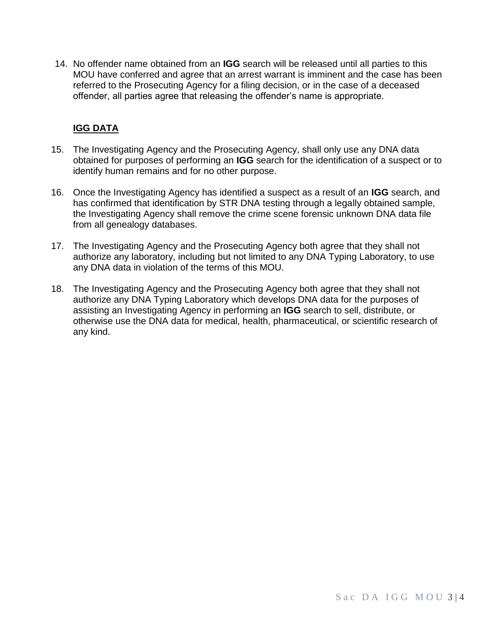14. No offender name obtained from an **IGG** search will be released until all parties to this MOU have conferred and agree that an arrest warrant is imminent and the case has been referred to the Prosecuting Agency for a filing decision, or in the case of a deceased offender, all parties agree that releasing the offender's name is appropriate.

## **IGG DATA**

- 15. The Investigating Agency and the Prosecuting Agency, shall only use any DNA data obtained for purposes of performing an **IGG** search for the identification of a suspect or to identify human remains and for no other purpose.
- 16. Once the Investigating Agency has identified a suspect as a result of an **IGG** search, and has confirmed that identification by STR DNA testing through a legally obtained sample, the Investigating Agency shall remove the crime scene forensic unknown DNA data file from all genealogy databases.
- 17. The Investigating Agency and the Prosecuting Agency both agree that they shall not authorize any laboratory, including but not limited to any DNA Typing Laboratory, to use any DNA data in violation of the terms of this MOU.
- 18. The Investigating Agency and the Prosecuting Agency both agree that they shall not authorize any DNA Typing Laboratory which develops DNA data for the purposes of assisting an Investigating Agency in performing an **IGG** search to sell, distribute, or otherwise use the DNA data for medical, health, pharmaceutical, or scientific research of any kind.